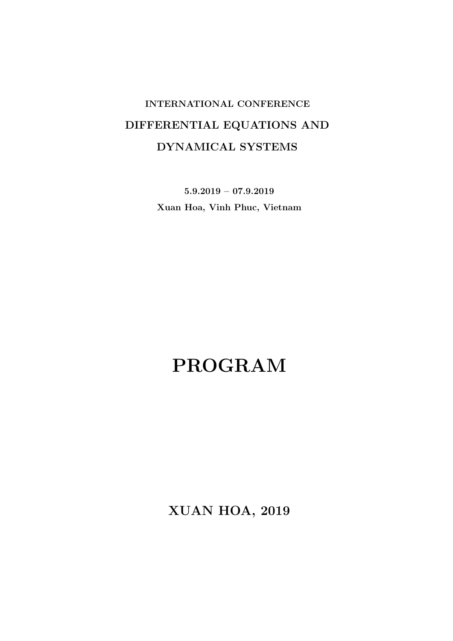## INTERNATIONAL CONFERENCE DIFFERENTIAL EQUATIONS AND DYNAMICAL SYSTEMS

5.9.2019 – 07.9.2019 Xuan Hoa, Vinh Phuc, Vietnam

# PROGRAM

XUAN HOA, 2019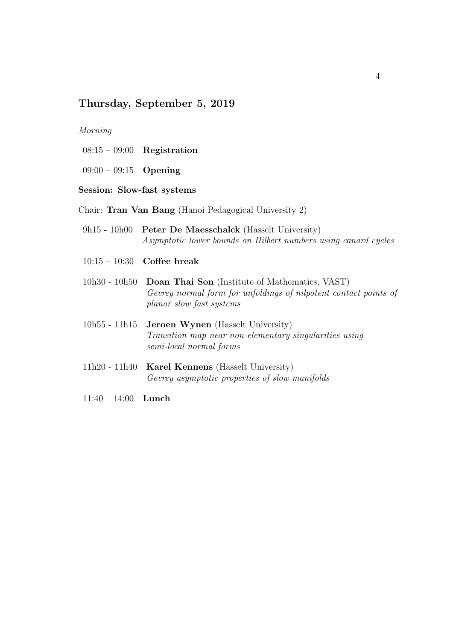## Thursday, September 5, 2019

## Morning

- 08:15 09:00 Registration
- 09:00 09:15 Opening
- Session: Slow-fast systems
- Chair: Tran Van Bang (Hanoi Pedagogical University 2)
- 9h15 10h00 Peter De Maesschalck (Hasselt University) Asymptotic lower bounds on Hilbert numbers using canard cycles
- 10:15 10:30 Coffee break
- 10h30 10h50 Doan Thai Son (Institute of Mathematics, VAST) Gevrey normal form for unfoldings of nilpotent contact points of planar slow fast systems
- 10h55 11h15 Jeroen Wynen (Hasselt University) Transition map near non-elementary singularities using semi-local normal forms
- 11h20 11h40 Karel Kennens (Hasselt University) Gevrey asymptotic properties of slow manifolds
- 11:40 14:00 Lunch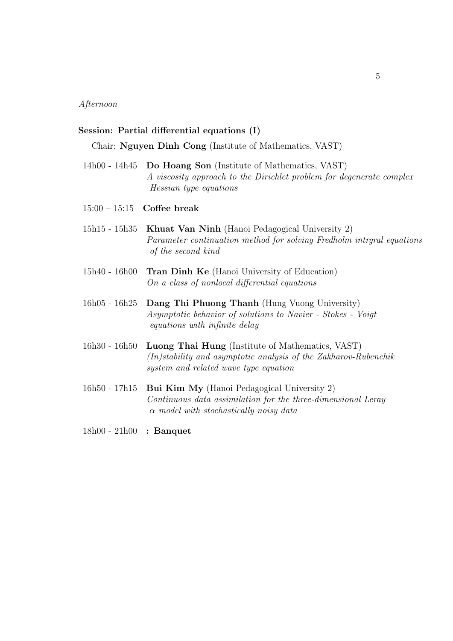Afternoon

#### Session: Partial differential equations (I)

Chair: Nguyen Dinh Cong (Institute of Mathematics, VAST)

- 14h00 14h45 Do Hoang Son (Institute of Mathematics, VAST) A viscosity approach to the Dirichlet problem for degenerate complex Hessian type equations
- 15:00 15:15 Coffee break
- 15h15 15h35 Khuat Van Ninh (Hanoi Pedagogical University 2) Parameter continuation method for solving Fredholm intrgral equations of the second kind
- 15h40 16h00 Tran Dinh Ke (Hanoi University of Education) On a class of nonlocal differential equations
- 16h05 16h25 Dang Thi Phuong Thanh (Hung Vuong University) Asymptotic behavior of solutions to Navier - Stokes - Voigt equations with infinite delay
- 16h30 16h50 Luong Thai Hung (Institute of Mathematics, VAST)  $(In) stability and asymptotic analysis of the Zakharov-Rubenchik$ system and related wave type equation
- 16h50 17h15 Bui Kim My (Hanoi Pedagogical University 2) Continuous data assimilation for the three-dimensional Leray  $\alpha$  model with stochastically noisy data
- 18h00 21h00 : Banquet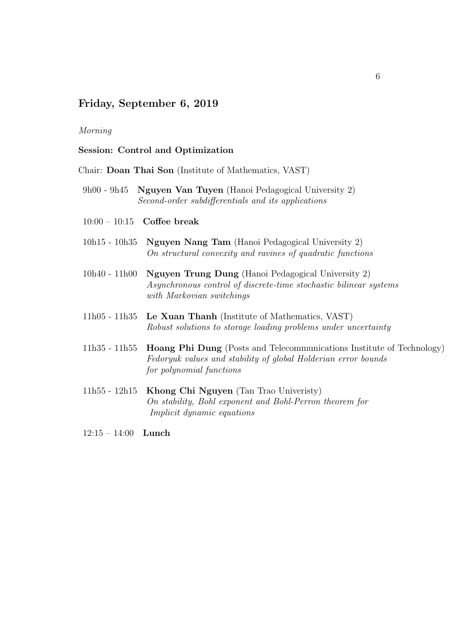## Friday, September 6, 2019

## Morning

### Session: Control and Optimization

Chair: Doan Thai Son (Institute of Mathematics, VAST)

- 9h00 9h45 Nguyen Van Tuyen (Hanoi Pedagogical University 2) Second-order subdifferentials and its applications
- $10:00 10:15$  Coffee break
- 10h15 10h35 Nguyen Nang Tam (Hanoi Pedagogical University 2) On structural convexity and ravines of quadratic functions
- 10h40 11h00 Nguyen Trung Dung (Hanoi Pedagogical University 2) Asynchronous control of discrete-time stochastic bilinear systems with Markovian switchings
- 11h05 11h35 Le Xuan Thanh (Institute of Mathematics, VAST) Robust solutions to storage loading problems under uncertainty
- 11h35 11h55 Hoang Phi Dung (Posts and Telecommunications Institute of Technology) Fedoryuk values and stability of global Holderian error bounds for polynomial functions
- 11h55 12h15 Khong Chi Nguyen (Tan Trao Univeristy) On stability, Bohl exponent and Bohl-Perron theorem for Implicit dynamic equations
- 12:15 14:00 Lunch